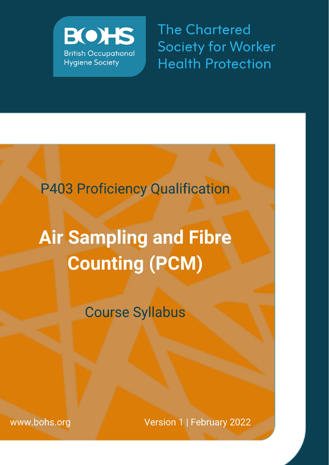

**The Chartered Society for Worker Health Protection** 

# P403 Proficiency Qualification

# **Air Sampling and Fibre Counting (PCM)**

**Course Syllabus** 

www.bohs.org

Version 1 | February 2022

P403 Syllabus January 2022 GC.1 FINAL Page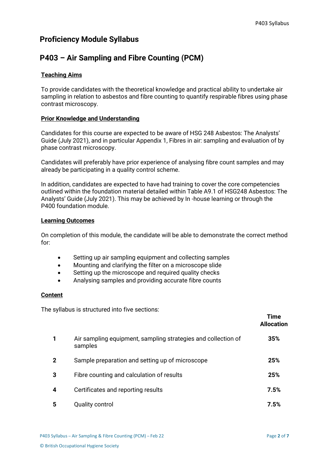### **Proficiency Module Syllabus**

## **P403 – Air Sampling and Fibre Counting (PCM)**

#### **Teaching Aims**

To provide candidates with the theoretical knowledge and practical ability to undertake air sampling in relation to asbestos and fibre counting to quantify respirable fibres using phase contrast microscopy.

#### **Prior Knowledge and Understanding**

Candidates for this course are expected to be aware of HSG 248 Asbestos: The Analysts' Guide (July 2021), and in particular Appendix 1, Fibres in air: sampling and evaluation of by phase contrast microscopy.

Candidates will preferably have prior experience of analysing fibre count samples and may already be participating in a quality control scheme.

In addition, candidates are expected to have had training to cover the core competencies outlined within the foundation material detailed within Table A9.1 of HSG248 Asbestos: The Analysts' Guide (July 2021). This may be achieved by In -house learning or through the P400 foundation module.

#### **Learning Outcomes**

On completion of this module, the candidate will be able to demonstrate the correct method for:

- Setting up air sampling equipment and collecting samples
- Mounting and clarifying the filter on a microscope slide
- Setting up the microscope and required quality checks
- Analysing samples and providing accurate fibre counts

#### **Content**

The syllabus is structured into five sections:

|              |                                                                          | Time<br><b>Allocation</b> |
|--------------|--------------------------------------------------------------------------|---------------------------|
|              | Air sampling equipment, sampling strategies and collection of<br>samples | 35%                       |
| $\mathbf{2}$ | Sample preparation and setting up of microscope                          | 25%                       |
| 3            | Fibre counting and calculation of results                                | 25%                       |
| 4            | Certificates and reporting results                                       | 7.5%                      |
| 5            | <b>Quality control</b>                                                   | 7.5%                      |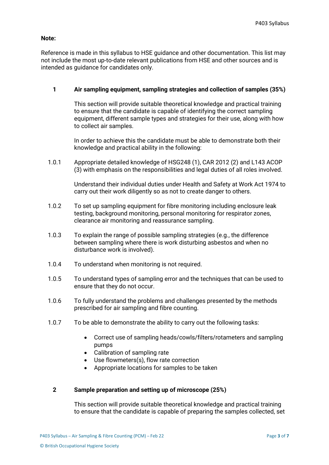#### **Note:**

Reference is made in this syllabus to HSE guidance and other documentation. This list may not include the most up-to-date relevant publications from HSE and other sources and is intended as guidance for candidates only.

#### **1 Air sampling equipment, sampling strategies and collection of samples (35%)**

This section will provide suitable theoretical knowledge and practical training to ensure that the candidate is capable of identifying the correct sampling equipment, different sample types and strategies for their use, along with how to collect air samples.

In order to achieve this the candidate must be able to demonstrate both their knowledge and practical ability in the following:

1.0.1 Appropriate detailed knowledge of HSG248 (1), CAR 2012 (2) and L143 ACOP (3) with emphasis on the responsibilities and legal duties of all roles involved.

> Understand their individual duties under Health and Safety at Work Act 1974 to carry out their work diligently so as not to create danger to others.

- 1.0.2 To set up sampling equipment for fibre monitoring including enclosure leak testing, background monitoring, personal monitoring for respirator zones, clearance air monitoring and reassurance sampling.
- 1.0.3 To explain the range of possible sampling strategies (e.g., the difference between sampling where there is work disturbing asbestos and when no disturbance work is involved).
- 1.0.4 To understand when monitoring is not required.
- 1.0.5 To understand types of sampling error and the techniques that can be used to ensure that they do not occur.
- 1.0.6 To fully understand the problems and challenges presented by the methods prescribed for air sampling and fibre counting.
- 1.0.7 To be able to demonstrate the ability to carry out the following tasks:
	- Correct use of sampling heads/cowls/filters/rotameters and sampling pumps
	- Calibration of sampling rate
	- Use flowmeters(s), flow rate correction
	- Appropriate locations for samples to be taken

#### **2 Sample preparation and setting up of microscope (25%)**

This section will provide suitable theoretical knowledge and practical training to ensure that the candidate is capable of preparing the samples collected, set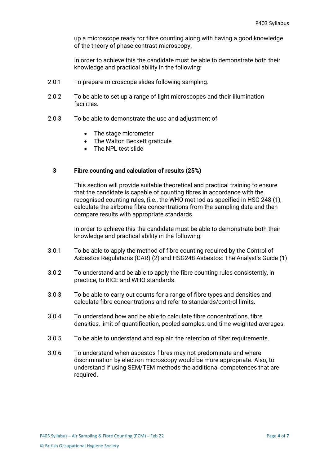up a microscope ready for fibre counting along with having a good knowledge of the theory of phase contrast microscopy.

In order to achieve this the candidate must be able to demonstrate both their knowledge and practical ability in the following:

- 2.0.1 To prepare microscope slides following sampling.
- 2.0.2 To be able to set up a range of light microscopes and their illumination facilities.
- 2.0.3 To be able to demonstrate the use and adjustment of:
	- The stage micrometer
	- The Walton Beckett graticule
	- The NPL test slide

#### **3 Fibre counting and calculation of results (25%)**

This section will provide suitable theoretical and practical training to ensure that the candidate is capable of counting fibres in accordance with the recognised counting rules, (i.e., the WHO method as specified in HSG 248 (1), calculate the airborne fibre concentrations from the sampling data and then compare results with appropriate standards.

In order to achieve this the candidate must be able to demonstrate both their knowledge and practical ability in the following:

- 3.0.1 To be able to apply the method of fibre counting required by the Control of Asbestos Regulations (CAR) (2) and HSG248 Asbestos: The Analyst's Guide (1)
- 3.0.2 To understand and be able to apply the fibre counting rules consistently, in practice, to RICE and WHO standards.
- 3.0.3 To be able to carry out counts for a range of fibre types and densities and calculate fibre concentrations and refer to standards/control limits.
- 3.0.4 To understand how and be able to calculate fibre concentrations, fibre densities, limit of quantification, pooled samples, and time-weighted averages.
- 3.0.5 To be able to understand and explain the retention of filter requirements.
- 3.0.6 To understand when asbestos fibres may not predominate and where discrimination by electron microscopy would be more appropriate. Also, to understand If using SEM/TEM methods the additional competences that are required.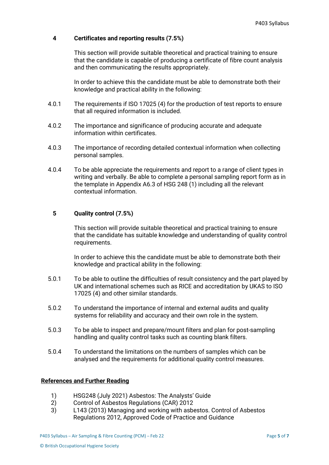#### **4 Certificates and reporting results (7.5%)**

This section will provide suitable theoretical and practical training to ensure that the candidate is capable of producing a certificate of fibre count analysis and then communicating the results appropriately.

In order to achieve this the candidate must be able to demonstrate both their knowledge and practical ability in the following:

- 4.0.1 The requirements if ISO 17025 (4) for the production of test reports to ensure that all required information is included.
- 4.0.2 The importance and significance of producing accurate and adequate information within certificates.
- 4.0.3 The importance of recording detailed contextual information when collecting personal samples.
- 4.0.4 To be able appreciate the requirements and report to a range of client types in writing and verbally. Be able to complete a personal sampling report form as in the template in Appendix A6.3 of HSG 248 (1) including all the relevant contextual information.

#### **5 Quality control (7.5%)**

This section will provide suitable theoretical and practical training to ensure that the candidate has suitable knowledge and understanding of quality control requirements.

In order to achieve this the candidate must be able to demonstrate both their knowledge and practical ability in the following:

- 5.0.1 To be able to outline the difficulties of result consistency and the part played by UK and international schemes such as RICE and accreditation by UKAS to ISO 17025 (4) and other similar standards.
- 5.0.2 To understand the importance of internal and external audits and quality systems for reliability and accuracy and their own role in the system.
- 5.0.3 To be able to inspect and prepare/mount filters and plan for post-sampling handling and quality control tasks such as counting blank filters.
- 5.0.4 To understand the limitations on the numbers of samples which can be analysed and the requirements for additional quality control measures.

#### **References and Further Reading**

- 1) HSG248 (July 2021) Asbestos: The Analysts' Guide
- 2) Control of Asbestos Regulations (CAR) 2012
- 3) L143 (2013) Managing and working with asbestos. Control of Asbestos Regulations 2012, Approved Code of Practice and Guidance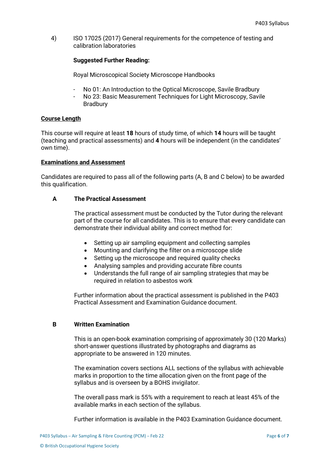4) ISO 17025 (2017) General requirements for the competence of testing and calibration laboratories

#### **Suggested Further Reading:**

Royal Microscopical Society Microscope Handbooks

No 01: An Introduction to the Optical Microscope, Savile Bradbury - No 23: Basic Measurement Techniques for Light Microscopy, Savile Bradbury

#### **Course Length**

This course will require at least **18** hours of study time, of which **14** hours will be taught (teaching and practical assessments) and **4** hours will be independent (in the candidates' own time).

#### **Examinations and Assessment**

Candidates are required to pass all of the following parts (A, B and C below) to be awarded this qualification.

#### **A The Practical Assessment**

The practical assessment must be conducted by the Tutor during the relevant part of the course for all candidates. This is to ensure that every candidate can demonstrate their individual ability and correct method for:

- Setting up air sampling equipment and collecting samples
- Mounting and clarifying the filter on a microscope slide
- Setting up the microscope and required quality checks
- Analysing samples and providing accurate fibre counts
- Understands the full range of air sampling strategies that may be required in relation to asbestos work

Further information about the practical assessment is published in the P403 Practical Assessment and Examination Guidance document.

#### **B Written Examination**

This is an open-book examination comprising of approximately 30 (120 Marks) short-answer questions illustrated by photographs and diagrams as appropriate to be answered in 120 minutes.

The examination covers sections ALL sections of the syllabus with achievable marks in proportion to the time allocation given on the front page of the syllabus and is overseen by a BOHS invigilator.

The overall pass mark is 55% with a requirement to reach at least 45% of the available marks in each section of the syllabus.

Further information is available in the P403 Examination Guidance document.